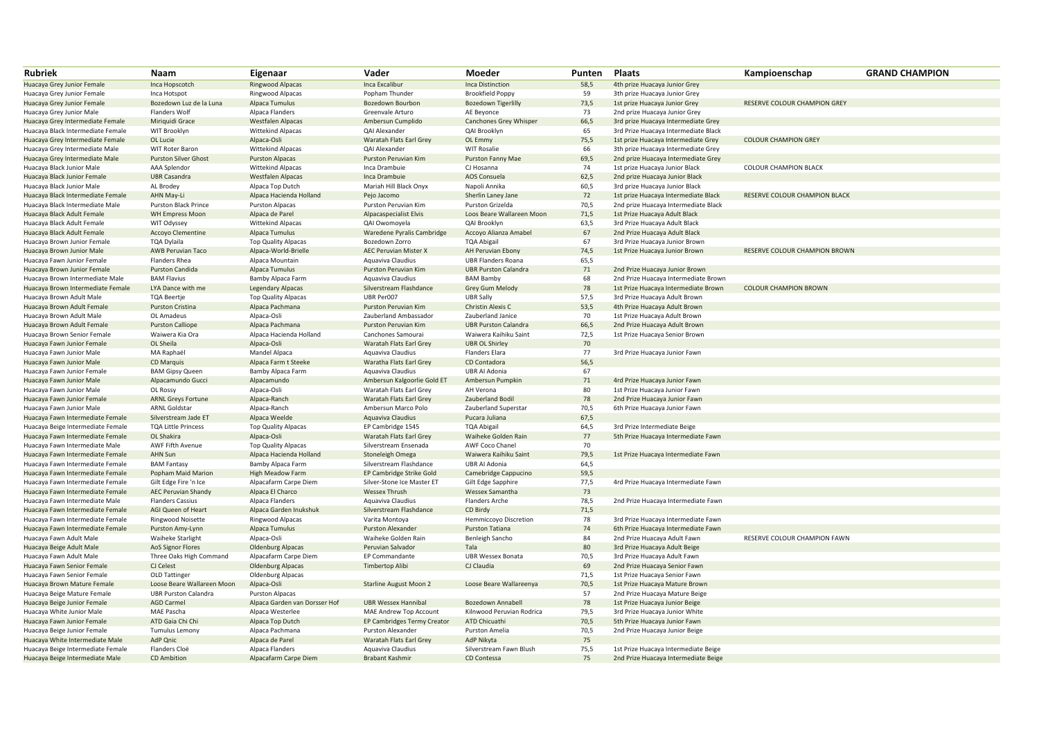| <b>Rubriek</b>                    | <b>Naam</b>                 | Eigenaar                      | Vader                         | Moeder                      | Punten | <b>Plaats</b>                        | Kampioenschap                 | <b>GRAND CHAMPION</b> |
|-----------------------------------|-----------------------------|-------------------------------|-------------------------------|-----------------------------|--------|--------------------------------------|-------------------------------|-----------------------|
| Huacaya Grey Junior Female        | Inca Hopscotch              | <b>Ringwood Alpacas</b>       | Inca Excalibur                | Inca Distinction            | 58,5   | 4th prize Huacaya Junior Grey        |                               |                       |
| Huacaya Grey Junior Female        | Inca Hotspot                | Ringwood Alpacas              | Popham Thunder                | <b>Brookfield Poppy</b>     | 59     | 3th prize Huacaya Junior Grey        |                               |                       |
| Huacaya Grey Junior Female        | Bozedown Luz de la Luna     | Alpaca Tumulus                | Bozedown Bourbon              | <b>Bozedown Tigerlilly</b>  | 73,5   | 1st prize Huacaya Junior Grey        | RESERVE COLOUR CHAMPION GREY  |                       |
| Huacaya Grey Junior Male          | Flanders Wolf               | Alpaca Flanders               | Greenvale Arturo              | AE Beyonce                  | 73     | 2nd prize Huacaya Junior Grey        |                               |                       |
| Huacaya Grey Intermediate Female  | Miriquidi Grace             | <b>Westfalen Alpacas</b>      | Ambersun Cumplido             | Canchones Grey Whisper      | 66,5   | 3rd prize Huacaya Intermediate Grey  |                               |                       |
| Huacaya Black Intermediate Female | WIT Brooklyn                | Wittekind Alpacas             | QAI Alexander                 | QAI Brooklyn                | 65     | 3rd Prize Huacaya Intermediate Black |                               |                       |
| Huacaya Grey Intermediate Female  | OL Lucie                    | Alpaca-Osli                   | Waratah Flats Earl Grey       | OL Emmy                     | 75,5   | 1st prize Huacaya Intermediate Grey  | <b>COLOUR CHAMPION GREY</b>   |                       |
| Huacaya Grey Intermediate Male    | WIT Roter Baron             | <b>Wittekind Alpacas</b>      | QAI Alexander                 | <b>WIT Rosalie</b>          | 66     | 3th prize Huacaya Intermediate Grey  |                               |                       |
| Huacaya Grey Intermediate Male    | <b>Purston Silver Ghost</b> | <b>Purston Alpacas</b>        | Purston Peruvian Kim          | Purston Fanny Mae           | 69,5   | 2nd prize Huacaya Intermediate Grey  |                               |                       |
| Huacaya Black Junior Male         | AAA Splendor                | <b>Wittekind Alpacas</b>      | Inca Drambuie                 | CJ Hosanna                  | 74     | 1st prize Huacaya Junior Black       | <b>COLOUR CHAMPION BLACK</b>  |                       |
| Huacaya Black Junior Female       | <b>UBR Casandra</b>         | <b>Westfalen Alpacas</b>      | Inca Drambuie                 | AOS Consuela                | 62,5   | 2nd prize Huacaya Junior Black       |                               |                       |
| Huacaya Black Junior Male         | AL Brodey                   | Alpaca Top Dutch              | Mariah Hill Black Onyx        | Napoli Annika               | 60,5   | 3rd prize Huacaya Junior Black       |                               |                       |
| Huacaya Black Intermediate Female | AHN May-Li                  | Alpaca Hacienda Holland       | Pejo Jacomo                   | Sherlin Laney Jane          | 72     | 1st prize Huacaya Intermediate Black | RESERVE COLOUR CHAMPION BLACK |                       |
| Huacaya Black Intermediate Male   | Purston Black Prince        | <b>Purston Alpacas</b>        | Purston Peruvian Kim          | Purston Grizelda            | 70,5   | 2nd prize Huacaya Intermediate Black |                               |                       |
| Huacaya Black Adult Female        | <b>WH Empress Moon</b>      | Alpaca de Parel               | Alpacaspecialist Elvis        | Loos Beare Wallareen Moon   | 71,5   | 1st Prize Huacaya Adult Black        |                               |                       |
| Huacaya Black Adult Female        | WIT Odyssey                 | <b>Wittekind Alpacas</b>      | QAI Owomoyela                 | QAI Brooklyn                | 63,5   | 3rd Prize Huacaya Adult Black        |                               |                       |
| Huacaya Black Adult Female        | Accoyo Clementine           | Alpaca Tumulus                | Waredene Pyralis Cambridge    | Accoyo Alianza Amabel       | 67     | 2nd Prize Huacaya Adult Black        |                               |                       |
| Huacaya Brown Junior Female       | TQA Dylaila                 | <b>Top Quality Alpacas</b>    | Bozedown Zorro                | <b>TQA Abigail</b>          | 67     | 3rd Prize Huacaya Junior Brown       |                               |                       |
| Huacaya Brown Junior Male         | AWB Peruvian Taco           | Alpaca-World-Brielle          | <b>AEC Peruvian Mister X</b>  | AH Peruvian Ebony           | 74,5   | 1st Prize Huacaya Junior Brown       | RESERVE COLOUR CHAMPION BROWN |                       |
| Huacaya Fawn Junior Female        | Flanders Rhea               | Alpaca Mountain               | Aquaviva Claudius             | <b>UBR Flanders Roana</b>   | 65,5   |                                      |                               |                       |
| Huacaya Brown Junior Female       | Purston Candida             | Alpaca Tumulus                | Purston Peruvian Kim          | <b>UBR Purston Calandra</b> | 71     | 2nd Prize Huacaya Junior Brown       |                               |                       |
| Huacaya Brown Intermediate Male   | <b>BAM Flavius</b>          | Bamby Alpaca Farm             | Aquaviva Claudius             | <b>BAM Bamby</b>            | 68     | 2nd Prize Huacaya Intermediate Brown |                               |                       |
| Huacaya Brown Intermediate Female | LYA Dance with me           | <b>Legendary Alpacas</b>      | Silverstream Flashdance       | <b>Grey Gum Melody</b>      | 78     | 1st Prize Huacaya Intermediate Brown | <b>COLOUR CHAMPION BROWN</b>  |                       |
| Huacaya Brown Adult Male          | <b>TQA Beertje</b>          | <b>Top Quality Alpacas</b>    | UBR Per007                    | <b>UBR Sally</b>            | 57,5   | 3rd Prize Huacaya Adult Brown        |                               |                       |
| Huacaya Brown Adult Female        | Purston Cristina            | Alpaca Pachmana               | Purston Peruvian Kim          | Christin Alexis C           | 53,5   | 4th Prize Huacaya Adult Brown        |                               |                       |
| Huacaya Brown Adult Male          | OL Amadeus                  | Alpaca-Osli                   | Zauberland Ambassador         | Zauberland Janice           | 70     | 1st Prize Huacaya Adult Brown        |                               |                       |
| Huacaya Brown Adult Female        | <b>Purston Calliope</b>     | Alpaca Pachmana               | Purston Peruvian Kim          | <b>UBR Purston Calandra</b> | 66,5   | 2nd Prize Huacaya Adult Brown        |                               |                       |
| Huacaya Brown Senior Female       | Waiwera Kia Ora             | Alpaca Hacienda Holland       | Canchones Samourai            | Waiwera Kaihiku Saint       | 72,5   | 1st Prize Huacaya Senior Brown       |                               |                       |
| Huacaya Fawn Junior Female        | OL Sheila                   | Alpaca-Osli                   | Waratah Flats Earl Grey       | <b>UBR OL Shirley</b>       | 70     |                                      |                               |                       |
| Huacaya Fawn Junior Male          | MA Raphaël                  | Mandel Alpaca                 | Aquaviva Claudius             | <b>Flanders Elara</b>       | 77     | 3rd Prize Huacaya Junior Fawn        |                               |                       |
| Huacaya Fawn Junior Male          | CD Marquis                  | Alpaca Farm t Steeke          | Waratha Flats Earl Grey       | CD Contadora                | 56,5   |                                      |                               |                       |
| Huacaya Fawn Junior Female        | <b>BAM Gipsy Queen</b>      | Bamby Alpaca Farm             | Aquaviva Claudius             | <b>UBR AI Adonia</b>        | 67     |                                      |                               |                       |
| Huacaya Fawn Junior Male          | Alpacamundo Gucci           | Alpacamundo                   | Ambersun Kalgoorlie Gold ET   | Ambersun Pumpkin            | 71     | 4rd Prize Huacaya Junior Fawn        |                               |                       |
| Huacaya Fawn Junior Male          | OL Rossy                    | Alpaca-Osli                   | Waratah Flats Earl Grey       | AH Verona                   | 80     | 1st Prize Huacaya Junior Fawn        |                               |                       |
| Huacaya Fawn Junior Female        | <b>ARNL Greys Fortune</b>   | Alpaca-Ranch                  | Waratah Flats Earl Grey       | <b>Zauberland Bodil</b>     | 78     | 2nd Prize Huacaya Junior Fawn        |                               |                       |
| Huacaya Fawn Junior Male          | <b>ARNL Goldstar</b>        | Alpaca-Ranch                  | Ambersun Marco Polo           | Zauberland Superstar        | 70,5   | 6th Prize Huacaya Junior Fawn        |                               |                       |
| Huacaya Fawn Intermediate Female  | Silverstream Jade ET        | Alpaca Weelde                 | Aquaviva Claudius             | Pucara Juliana              | 67,5   |                                      |                               |                       |
| Huacaya Beige Intermediate Female | <b>TQA Little Princess</b>  | <b>Top Quality Alpacas</b>    | EP Cambridge 1545             | <b>TQA Abigail</b>          | 64,5   | 3rd Prize Intermediate Beige         |                               |                       |
| Huacaya Fawn Intermediate Female  | OL Shakira                  | Alpaca-Osli                   | Waratah Flats Earl Grey       | Waiheke Golden Rain         | 77     | 5th Prize Huacaya Intermediate Fawn  |                               |                       |
| Huacaya Fawn Intermediate Male    | AWF Fifth Avenue            | <b>Top Quality Alpacas</b>    | Silverstream Ensenada         | AWF Coco Chanel             | 70     |                                      |                               |                       |
| Huacaya Fawn Intermediate Female  | AHN Sun                     | Alpaca Hacienda Holland       | Stoneleigh Omega              | Waiwera Kaihiku Saint       | 79,5   | 1st Prize Huacaya Intermediate Fawn  |                               |                       |
| Huacaya Fawn Intermediate Female  | <b>BAM Fantasy</b>          | Bamby Alpaca Farm             | Silverstream Flashdance       | UBR AI Adonia               | 64,5   |                                      |                               |                       |
| Huacaya Fawn Intermediate Female  | Popham Maid Marion          | High Meadow Farm              | EP Cambridge Strike Gold      | Camebridge Cappucino        | 59,5   |                                      |                               |                       |
| Huacaya Fawn Intermediate Female  | Gilt Edge Fire 'n Ice       | Alpacafarm Carpe Diem         | Silver-Stone Ice Master ET    | Gilt Edge Sapphire          | 77,5   | 4rd Prize Huacaya Intermediate Fawn  |                               |                       |
| Huacaya Fawn Intermediate Female  | <b>AEC Peruvian Shandy</b>  | Alpaca El Charco              | <b>Wessex Thrush</b>          | Wessex Samantha             | 73     |                                      |                               |                       |
| Huacaya Fawn Intermediate Male    | <b>Flanders Cassius</b>     | Alpaca Flanders               | Aquaviva Claudius             | <b>Flanders Arche</b>       | 78,5   | 2nd Prize Huacaya Intermediate Fawn  |                               |                       |
| Huacaya Fawn Intermediate Female  | AGI Queen of Heart          | Alpaca Garden Inukshuk        | Silverstream Flashdance       | CD Birdy                    | 71,5   |                                      |                               |                       |
| Huacaya Fawn Intermediate Female  | Ringwood Noisette           | Ringwood Alpacas              | Varita Montoya                | Hemmiccoyo Discretion       | 78     | 3rd Prize Huacaya Intermediate Fawn  |                               |                       |
| Huacaya Fawn Intermediate Female  | Purston Amy-Lynn            | Alpaca Tumulus                | <b>Purston Alexander</b>      | <b>Purston Tatiana</b>      | 74     | 6th Prize Huacaya Intermediate Fawn  |                               |                       |
| Huacaya Fawn Adult Male           | <b>Waiheke Starlight</b>    | Alpaca-Osli                   | Waiheke Golden Rain           | Benleigh Sancho             | 84     | 2nd Prize Huacaya Adult Fawn         | RESERVE COLOUR CHAMPION FAWN  |                       |
| Huacaya Beige Adult Male          | AoS Signor Flores           | <b>Oldenburg Alpacas</b>      | Peruvian Salvador             | Tala                        | 80     | 3rd Prize Huacaya Adult Beige        |                               |                       |
| Huacaya Fawn Adult Male           | Three Oaks High Command     | Alpacafarm Carpe Diem         | EP Commandante                | <b>UBR Wessex Bonata</b>    | 70,5   | 3rd Prize Huacaya Adult Fawn         |                               |                       |
| Huacaya Fawn Senior Female        | CJ Celest                   | <b>Oldenburg Alpacas</b>      | Timbertop Alibi               | CJ Claudia                  | 69     | 2nd Prize Huacaya Senior Fawn        |                               |                       |
| Huacaya Fawn Senior Female        | OLD Tattinger               | <b>Oldenburg Alpacas</b>      |                               |                             | 71,5   | 1st Prize Huacaya Senior Fawn        |                               |                       |
| Huacaya Brown Mature Female       | Loose Beare Wallareen Moon  | Alpaca-Osli                   | <b>Starline August Moon 2</b> | Loose Beare Wallareenya     | 70,5   | 1st Prize Huacaya Mature Brown       |                               |                       |
| Huacaya Beige Mature Female       | <b>UBR Purston Calandra</b> | Purston Alpacas               |                               |                             | 57     | 2nd Prize Huacaya Mature Beige       |                               |                       |
| Huacaya Beige Junior Female       | <b>AGD Carmel</b>           | Alpaca Garden van Dorsser Hof | <b>UBR Wessex Hannibal</b>    | <b>Bozedown Annabell</b>    | 78     | 1st Prize Huacaya Junior Beige       |                               |                       |
| Huacaya White Junior Male         | MAE Pascha                  | Alpaca Westerlee              | MAE Andrew Top Account        | Kilnwood Peruvian Rodrica   | 79,5   | 3rd Prize Huacaya Junior White       |                               |                       |
| Huacaya Fawn Junior Female        | ATD Gaia Chi Chi            | Alpaca Top Dutch              | EP Cambridges Termy Creator   | ATD Chicuathi               | 70,5   | 5th Prize Huacaya Junior Fawn        |                               |                       |
| Huacaya Beige Junior Female       | <b>Tumulus Lemony</b>       | Alpaca Pachmana               | Purston Alexander             | Purston Amelia              | 70,5   | 2nd Prize Huacaya Junior Beige       |                               |                       |
| Huacaya White Intermediate Male   | AdP Qnic                    | Alpaca de Parel               | Waratah Flats Earl Grey       | AdP Nikyta                  | 75     |                                      |                               |                       |
| Huacaya Beige Intermediate Female | Flanders Cloë               | Alpaca Flanders               | Aquaviva Claudius             | Silverstream Fawn Blush     | 75,5   | 1st Prize Huacaya Intermediate Beige |                               |                       |
|                                   | CD Ambition                 | Alpacafarm Carpe Diem         | Brabant Kashmir               | CD Contessa                 | 75     |                                      |                               |                       |
| Huacaya Beige Intermediate Male   |                             |                               |                               |                             |        | 2nd Prize Huacaya Intermediate Beige |                               |                       |